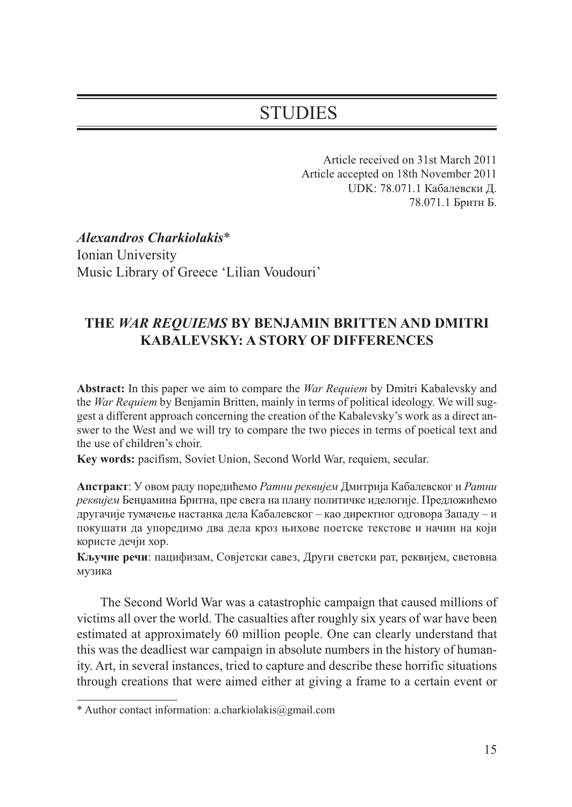# STUDIES

Article received on 31st March 2011 Article accepted on 18th November 2011 UDK: 78.071.1 Кабалевски Д. 78.071.1 Бритн Б.

*Alexandros Charkiolakis*\* Ionian University Music Library of Greece 'Lilian Voudouri'

## **THE** *WAR REQUIEMS* **BY BENJAMIN BRITTEN AND DMITRI KABALEVSKY: A STORY OF DIFFERENCES**

**Abstract:** In this paper we aim to compare the *War Requiem* by Dmitri Kabalevsky and the *War Requiem* by Benjamin Britten, mainly in terms of political ideology. We will suggest a different approach concerning the creation of the Kabalevsky's work as a direct answer to the West and we will try to compare the two pieces in terms of poetical text and the use of children's choir.

**Key words:** pacifism, Soviet Union, Second World War, requiem, secular.

**Апстракт**: У овом раду поредићемо *Ратни реквијем* Дмитрија Кабалевског и *Ратни реквијем* Бенџамина Бритна, пре свега на плану политичке иделогије. Предложићемо другачије тумачење настанка дела Кабалевског – као директног одговора Западу – и покушати да упоредимо два дела кроз њихове поетске текстове и начин на који користе дечји хор.

**Кључне речи**: пацифизам, Совјетски савез, Други светски рат, реквијем, световна музика

The Second World War was a catastrophic campaign that caused millions of victims all over the world. The casualties after roughly six years of war have been estimated at approximately 60 million people. One can clearly understand that this was the deadliest war campaign in absolute numbers in the history of humanity. Art, in several instances, tried to capture and describe these horrific situations through creations that were aimed either at giving a frame to a certain event or

<sup>\*</sup> Author contact information: a.charkiolakis@gmail.com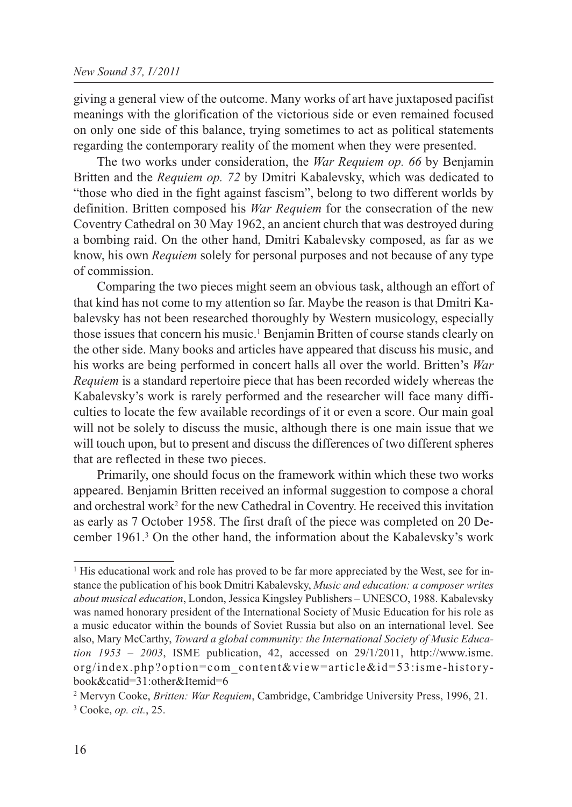giving a general view of the outcome. Many works of art have juxtaposed pacifist meanings with the glorification of the victorious side or even remained focused on only one side of this balance, trying sometimes to act as political statements regarding the contemporary reality of the moment when they were presented.

The two works under consideration, the *War Requiem op. 66* by Benjamin Britten and the *Requiem op. 72* by Dmitri Kabalevsky, which was dedicated to "those who died in the fight against fascism", belong to two different worlds by definition. Britten composed his *War Requiem* for the consecration of the new Coventry Cathedral on 30 May 1962, an ancient church that was destroyed during a bombing raid. On the other hand, Dmitri Kabalevsky composed, as far as we know, his own *Requiem* solely for personal purposes and not because of any type of commission.

Comparing the two pieces might seem an obvious task, although an effort of that kind has not come to my attention so far. Maybe the reason is that Dmitri Kabalevsky has not been researched thoroughly by Western musicology, especially those issues that concern his music.1 Benjamin Britten of course stands clearly on the other side. Many books and articles have appeared that discuss his music, and his works are being performed in concert halls all over the world. Britten's *War Requiem* is a standard repertoire piece that has been recorded widely whereas the Kabalevsky's work is rarely performed and the researcher will face many difficulties to locate the few available recordings of it or even a score. Our main goal will not be solely to discuss the music, although there is one main issue that we will touch upon, but to present and discuss the differences of two different spheres that are reflected in these two pieces.

Primarily, one should focus on the framework within which these two works appeared. Benjamin Britten received an informal suggestion to compose a choral and orchestral work2 for the new Cathedral in Coventry. He received this invitation as early as 7 October 1958. The first draft of the piece was completed on 20 December 1961.3 On the other hand, the information about the Kabalevsky's work

<sup>&</sup>lt;sup>1</sup> His educational work and role has proved to be far more appreciated by the West, see for instance the publication of his book Dmitri Kabalevsky, *Music and education: a composer writes about musical education*, London, Jessica Kingsley Publishers – UNESCO, 1988. Kabalevsky was named honorary president of the International Society of Music Education for his role as a music educator within the bounds of Soviet Russia but also on an international level. See also, Mary McCarthy, *Toward a global community: the International Society of Music Education 1953 – 2003*, ISME publication, 42, accessed on 29/1/2011, http://www.isme. org/index.php?option=com\_content&view=article&id=53:isme-historybook&catid=31:other&Itemid=6

<sup>2</sup> Mervyn Cooke, *Britten: War Requiem*, Cambridge, Cambridge University Press, 1996, 21. <sup>3</sup> Cooke, *op. cit.*, 25.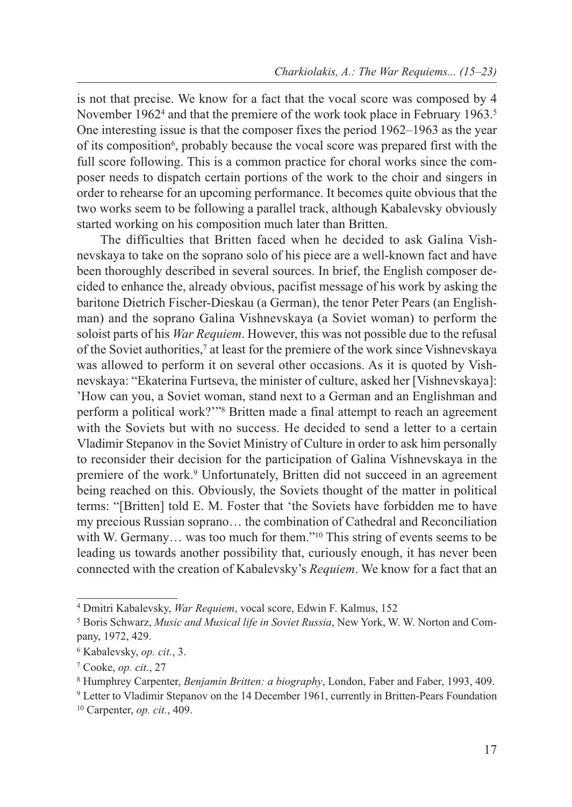is not that precise. We know for a fact that the vocal score was composed by 4 November 1962<sup>4</sup> and that the premiere of the work took place in February 1963.<sup>5</sup> One interesting issue is that the composer fixes the period 1962–1963 as the year of its composition<sup>6</sup>, probably because the vocal score was prepared first with the full score following. This is a common practice for choral works since the composer needs to dispatch certain portions of the work to the choir and singers in order to rehearse for an upcoming performance. It becomes quite obvious that the two works seem to be following a parallel track, although Kabalevsky obviously started working on his composition much later than Britten.

The difficulties that Britten faced when he decided to ask Galina Vishnevskaya to take on the soprano solo of his piece are a well-known fact and have been thoroughly described in several sources. In brief, the English composer decided to enhance the, already obvious, pacifist message of his work by asking the baritone Dietrich Fischer-Dieskau (a German), the tenor Peter Pears (an Englishman) and the soprano Galina Vishnevskaya (a Soviet woman) to perform the soloist parts of his *War Requiem*. However, this was not possible due to the refusal of the Soviet authorities,<sup>7</sup> at least for the premiere of the work since Vishnevskaya was allowed to perform it on several other occasions. As it is quoted by Vishnevskaya: "Ekaterina Furtseva, the minister of culture, asked her [Vishnevskaya]: 'How can you, a Soviet woman, stand next to a German and an Englishman and perform a political work?'"8 Britten made a final attempt to reach an agreement with the Soviets but with no success. He decided to send a letter to a certain Vladimir Stepanov in the Soviet Ministry of Culture in order to ask him personally to reconsider their decision for the participation of Galina Vishnevskaya in the premiere of the work.<sup>9</sup> Unfortunately, Britten did not succeed in an agreement being reached on this. Obviously, the Soviets thought of the matter in political terms: "[Britten] told E. M. Foster that 'the Soviets have forbidden me to have my precious Russian soprano… the combination of Cathedral and Reconciliation with W. Germany... was too much for them."<sup>10</sup> This string of events seems to be leading us towards another possibility that, curiously enough, it has never been connected with the creation of Kabalevsky's *Requiem*. We know for a fact that an

<sup>4</sup> Dmitri Kabalevsky, *War Requiem*, vocal score, Edwin F. Kalmus, 152

<sup>5</sup> Boris Schwarz, *Music and Musical life in Soviet Russia*, New York, W. W. Norton and Company, 1972, 429.

<sup>6</sup> Kabalevsky, *op. cit.*, 3.

<sup>7</sup> Cooke, *op. cit.*, 27

<sup>8</sup> Humphrey Carpenter, *Benjamin Britten: a biography*, London, Faber and Faber, 1993, 409.

<sup>9</sup> Letter to Vladimir Stepanov on the 14 December 1961, currently in Britten-Pears Foundation <sup>10</sup> Carpenter, *op. cit.*, 409.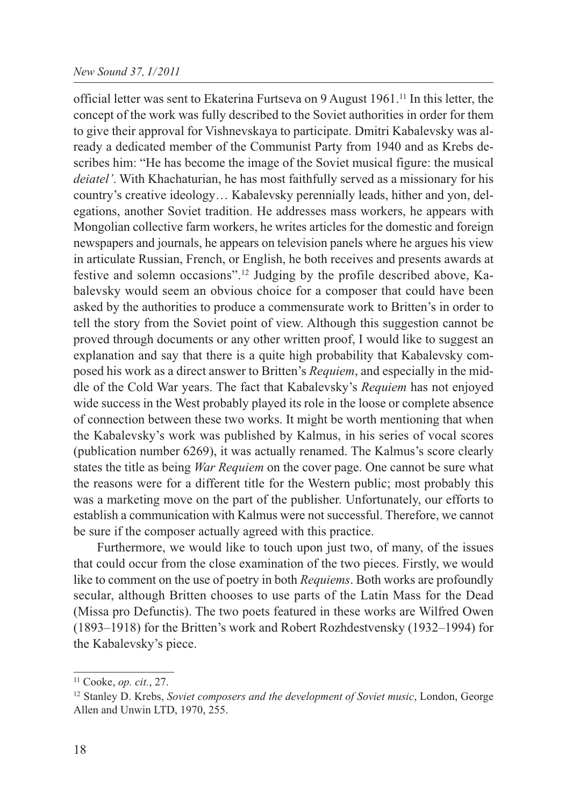### *New Sound 37, I/2011*

official letter was sent to Ekaterina Furtseva on 9 August 1961.11 In this letter, the concept of the work was fully described to the Soviet authorities in order for them to give their approval for Vishnevskaya to participate. Dmitri Kabalevsky was already a dedicated member of the Communist Party from 1940 and as Krebs describes him: "He has become the image of the Soviet musical figure: the musical *deiatel'*. With Khachaturian, he has most faithfully served as a missionary for his country's creative ideology… Kabalevsky perennially leads, hither and yon, delegations, another Soviet tradition. He addresses mass workers, he appears with Mongolian collective farm workers, he writes articles for the domestic and foreign newspapers and journals, he appears on television panels where he argues his view in articulate Russian, French, or English, he both receives and presents awards at festive and solemn occasions".12 Judging by the profile described above, Kabalevsky would seem an obvious choice for a composer that could have been asked by the authorities to produce a commensurate work to Britten's in order to tell the story from the Soviet point of view. Although this suggestion cannot be proved through documents or any other written proof, I would like to suggest an explanation and say that there is a quite high probability that Kabalevsky composed his work as a direct answer to Britten's *Requiem*, and especially in the middle of the Cold War years. The fact that Kabalevsky's *Requiem* has not enjoyed wide success in the West probably played its role in the loose or complete absence of connection between these two works. It might be worth mentioning that when the Kabalevsky's work was published by Kalmus, in his series of vocal scores (publication number 6269), it was actually renamed. The Kalmus's score clearly states the title as being *War Requiem* on the cover page. One cannot be sure what the reasons were for a different title for the Western public; most probably this was a marketing move on the part of the publisher. Unfortunately, our efforts to establish a communication with Kalmus were not successful. Therefore, we cannot be sure if the composer actually agreed with this practice.

Furthermore, we would like to touch upon just two, of many, of the issues that could occur from the close examination of the two pieces. Firstly, we would like to comment on the use of poetry in both *Requiems*. Both works are profoundly secular, although Britten chooses to use parts of the Latin Mass for the Dead (Missa pro Defunctis). The two poets featured in these works are Wilfred Owen (1893–1918) for the Britten's work and Robert Rozhdestvensky (1932–1994) for the Kabalevsky's piece.

<sup>11</sup> Cooke, *op. cit.*, 27.

<sup>&</sup>lt;sup>12</sup> Stanley D. Krebs, *Soviet composers and the development of Soviet music*, London, George Allen and Unwin LTD, 1970, 255.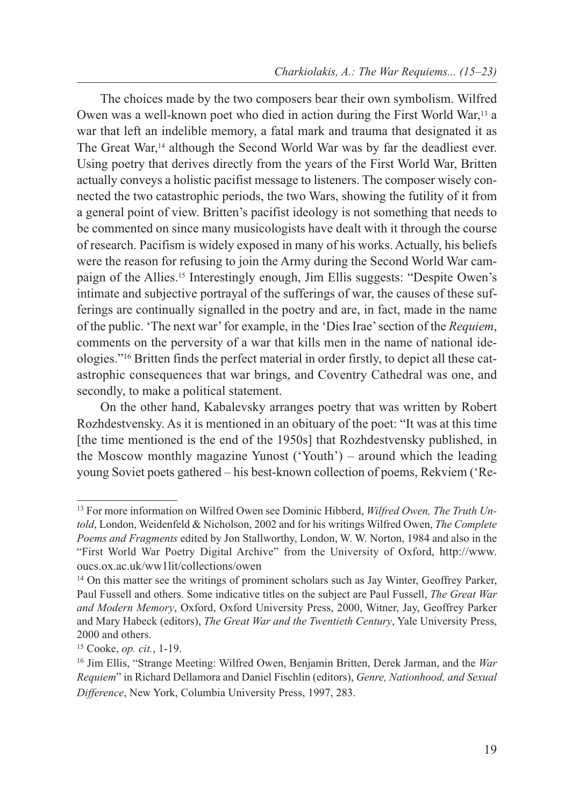The choices made by the two composers bear their own symbolism. Wilfred Owen was a well-known poet who died in action during the First World War,13 a war that left an indelible memory, a fatal mark and trauma that designated it as The Great War,14 although the Second World War was by far the deadliest ever. Using poetry that derives directly from the years of the First World War, Britten actually conveys a holistic pacifist message to listeners. The composer wisely connected the two catastrophic periods, the two Wars, showing the futility of it from a general point of view. Britten's pacifist ideology is not something that needs to be commented on since many musicologists have dealt with it through the course of research. Pacifism is widely exposed in many of his works. Actually, his beliefs were the reason for refusing to join the Army during the Second World War campaign of the Allies.15 Interestingly enough, Jim Ellis suggests: "Despite Owen's intimate and subjective portrayal of the sufferings of war, the causes of these sufferings are continually signalled in the poetry and are, in fact, made in the name of the public. 'The next war' for example, in the 'Dies Irae' section of the *Requiem*, comments on the perversity of a war that kills men in the name of national ideologies."16 Britten finds the perfect material in order firstly, to depict all these catastrophic consequences that war brings, and Coventry Cathedral was one, and secondly, to make a political statement.

On the other hand, Kabalevsky arranges poetry that was written by Robert Rozhdestvensky. As it is mentioned in an obituary of the poet: "It was at this time [the time mentioned is the end of the 1950s] that Rozhdestvensky published, in the Moscow monthly magazine Yunost ('Youth') – around which the leading young Soviet poets gathered – his best-known collection of poems, Rekviem ('Re-

<sup>13</sup> For more information on Wilfred Owen see Dominic Hibberd, *Wilfred Owen, The Truth Untold*, London, Weidenfeld & Nicholson, 2002 and for his writings Wilfred Owen, *The Complete Poems and Fragments* edited by Jon Stallworthy, London, W. W. Norton, 1984 and also in the "First World War Poetry Digital Archive" from the University of Oxford, http://www. oucs.ox.ac.uk/ww1lit/collections/owen

<sup>&</sup>lt;sup>14</sup> On this matter see the writings of prominent scholars such as Jay Winter, Geoffrey Parker, Paul Fussell and others. Some indicative titles on the subject are Paul Fussell, *The Great War and Modern Memory*, Oxford, Oxford University Press, 2000, Witner, Jay, Geoffrey Parker and Mary Habeck (editors), *The Great War and the Twentieth Century*, Yale University Press, 2000 and others.

<sup>15</sup> Cooke, *op. cit.*, 1-19.

<sup>16</sup> Jim Ellis, "Strange Meeting: Wilfred Owen, Benjamin Britten, Derek Jarman, and the *War Requiem*" in Richard Dellamora and Daniel Fischlin (editors), *Genre, Nationhood, and Sexual Difference*, New York, Columbia University Press, 1997, 283.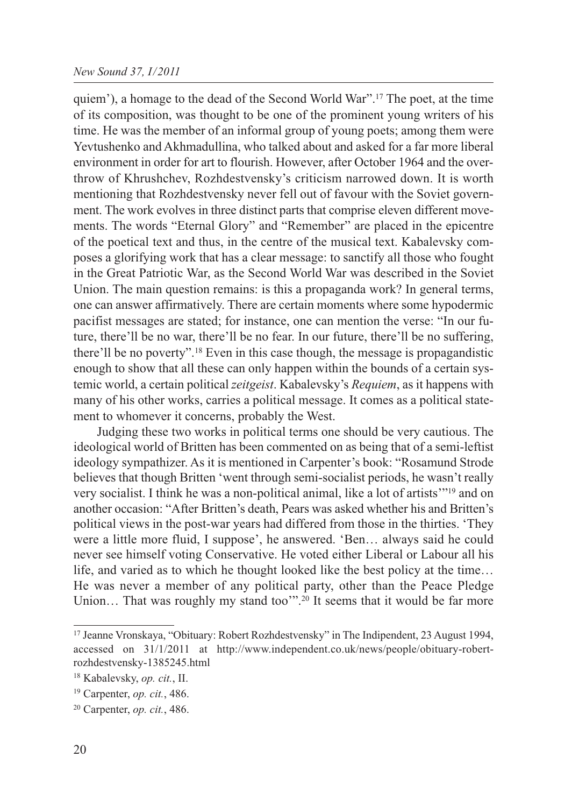quiem'), a homage to the dead of the Second World War".17 The poet, at the time of its composition, was thought to be one of the prominent young writers of his time. He was the member of an informal group of young poets; among them were Yevtushenko and Akhmadullina, who talked about and asked for a far more liberal environment in order for art to flourish. However, after October 1964 and the overthrow of Khrushchev, Rozhdestvensky's criticism narrowed down. It is worth mentioning that Rozhdestvensky never fell out of favour with the Soviet government. The work evolves in three distinct parts that comprise eleven different movements. The words "Eternal Glory" and "Remember" are placed in the epicentre of the poetical text and thus, in the centre of the musical text. Kabalevsky composes a glorifying work that has a clear message: to sanctify all those who fought in the Great Patriotic War, as the Second World War was described in the Soviet Union. The main question remains: is this a propaganda work? In general terms, one can answer affirmatively. There are certain moments where some hypodermic pacifist messages are stated; for instance, one can mention the verse: "In our future, there'll be no war, there'll be no fear. In our future, there'll be no suffering, there'll be no poverty".18 Even in this case though, the message is propagandistic enough to show that all these can only happen within the bounds of a certain systemic world, a certain political *zeitgeist*. Kabalevsky's *Requiem*, as it happens with many of his other works, carries a political message. It comes as a political statement to whomever it concerns, probably the West.

Judging these two works in political terms one should be very cautious. The ideological world of Britten has been commented on as being that of a semi-leftist ideology sympathizer. As it is mentioned in Carpenter's book: "Rosamund Strode believes that though Britten 'went through semi-socialist periods, he wasn't really very socialist. I think he was a non-political animal, like a lot of artists'"19 and on another occasion: "After Britten's death, Pears was asked whether his and Britten's political views in the post-war years had differed from those in the thirties. 'They were a little more fluid, I suppose', he answered. 'Ben… always said he could never see himself voting Conservative. He voted either Liberal or Labour all his life, and varied as to which he thought looked like the best policy at the time… He was never a member of any political party, other than the Peace Pledge Union... That was roughly my stand too"".<sup>20</sup> It seems that it would be far more

<sup>17</sup> Jeanne Vronskaya, "Obituary: Robert Rozhdestvensky" in The Indipendent, 23 August 1994, accessed on 31/1/2011 at http://www.independent.co.uk/news/people/obituary-robertrozhdestvensky-1385245.html

<sup>18</sup> Kabalevsky, *op. cit.*, II.

<sup>19</sup> Carpenter, *op. cit.*, 486.

<sup>20</sup> Carpenter, *op. cit.*, 486.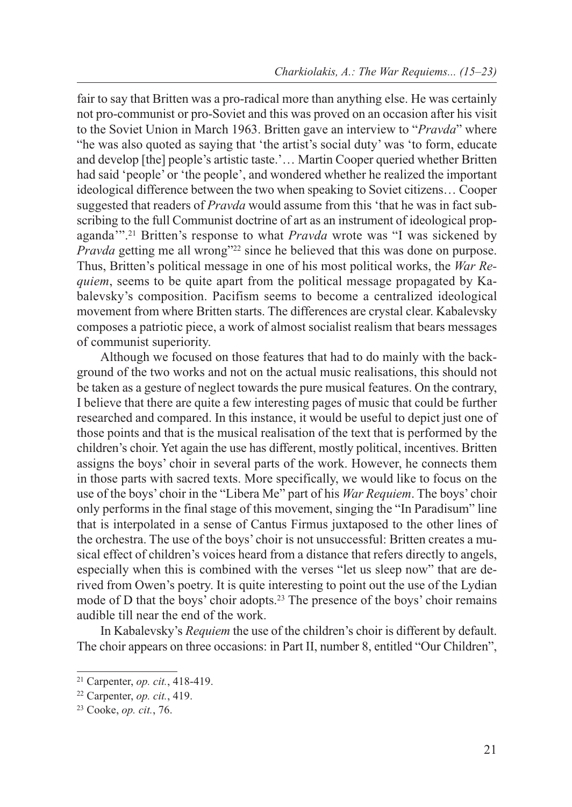fair to say that Britten was a pro-radical more than anything else. He was certainly not pro-communist or pro-Soviet and this was proved on an occasion after his visit to the Soviet Union in March 1963. Britten gave an interview to "*Pravda*" where "he was also quoted as saying that 'the artist's social duty' was 'to form, educate and develop [the] people's artistic taste.'… Martin Cooper queried whether Britten had said 'people' or 'the people', and wondered whether he realized the important ideological difference between the two when speaking to Soviet citizens… Cooper suggested that readers of *Pravda* would assume from this 'that he was in fact subscribing to the full Communist doctrine of art as an instrument of ideological propaganda'".21 Britten's response to what *Pravda* wrote was "I was sickened by *Pravda* getting me all wrong"<sup>22</sup> since he believed that this was done on purpose. Thus, Britten's political message in one of his most political works, the *War Requiem*, seems to be quite apart from the political message propagated by Kabalevsky's composition. Pacifism seems to become a centralized ideological movement from where Britten starts. The differences are crystal clear. Kabalevsky composes a patriotic piece, a work of almost socialist realism that bears messages of communist superiority.

Although we focused on those features that had to do mainly with the background of the two works and not on the actual music realisations, this should not be taken as a gesture of neglect towards the pure musical features. On the contrary, I believe that there are quite a few interesting pages of music that could be further researched and compared. In this instance, it would be useful to depict just one of those points and that is the musical realisation of the text that is performed by the children's choir. Yet again the use has different, mostly political, incentives. Britten assigns the boys' choir in several parts of the work. However, he connects them in those parts with sacred texts. More specifically, we would like to focus on the use of the boys' choir in the "Libera Me" part of his *War Requiem*. The boys' choir only performs in the final stage of this movement, singing the "In Paradisum" line that is interpolated in a sense of Cantus Firmus juxtaposed to the other lines of the orchestra. The use of the boys' choir is not unsuccessful: Britten creates a musical effect of children's voices heard from a distance that refers directly to angels, especially when this is combined with the verses "let us sleep now" that are derived from Owen's poetry. It is quite interesting to point out the use of the Lydian mode of D that the boys' choir adopts.<sup>23</sup> The presence of the boys' choir remains audible till near the end of the work.

In Kabalevsky's *Requiem* the use of the children's choir is different by default. The choir appears on three occasions: in Part II, number 8, entitled "Our Children",

<sup>21</sup> Carpenter, *op. cit.*, 418-419.

<sup>22</sup> Carpenter, *op. cit.*, 419.

<sup>23</sup> Cooke, *op. cit.*, 76.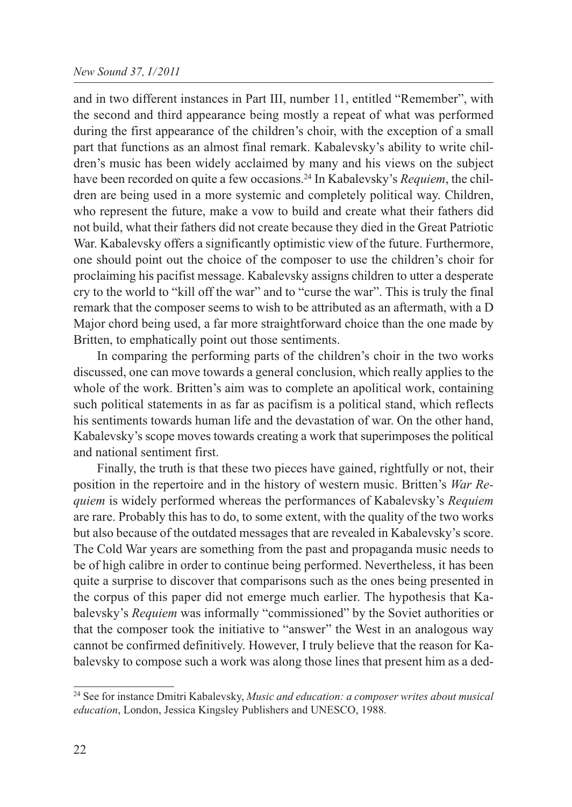### *New Sound 37, I/2011*

and in two different instances in Part III, number 11, entitled "Remember", with the second and third appearance being mostly a repeat of what was performed during the first appearance of the children's choir, with the exception of a small part that functions as an almost final remark. Kabalevsky's ability to write children's music has been widely acclaimed by many and his views on the subject have been recorded on quite a few occasions.24 In Kabalevsky's *Requiem*, the children are being used in a more systemic and completely political way. Children, who represent the future, make a vow to build and create what their fathers did not build, what their fathers did not create because they died in the Great Patriotic War. Kabalevsky offers a significantly optimistic view of the future. Furthermore, one should point out the choice of the composer to use the children's choir for proclaiming his pacifist message. Kabalevsky assigns children to utter a desperate cry to the world to "kill off the war" and to "curse the war". This is truly the final remark that the composer seems to wish to be attributed as an aftermath, with a D Major chord being used, a far more straightforward choice than the one made by Britten, to emphatically point out those sentiments.

In comparing the performing parts of the children's choir in the two works discussed, one can move towards a general conclusion, which really applies to the whole of the work. Britten's aim was to complete an apolitical work, containing such political statements in as far as pacifism is a political stand, which reflects his sentiments towards human life and the devastation of war. On the other hand, Kabalevsky's scope moves towards creating a work that superimposes the political and national sentiment first.

Finally, the truth is that these two pieces have gained, rightfully or not, their position in the repertoire and in the history of western music. Britten's *War Requiem* is widely performed whereas the performances of Kabalevsky's *Requiem* are rare. Probably this has to do, to some extent, with the quality of the two works but also because of the outdated messages that are revealed in Kabalevsky's score. The Cold War years are something from the past and propaganda music needs to be of high calibre in order to continue being performed. Nevertheless, it has been quite a surprise to discover that comparisons such as the ones being presented in the corpus of this paper did not emerge much earlier. The hypothesis that Kabalevsky's *Requiem* was informally "commissioned" by the Soviet authorities or that the composer took the initiative to "answer" the West in an analogous way cannot be confirmed definitively. However, I truly believe that the reason for Kabalevsky to compose such a work was along those lines that present him as a ded-

<sup>24</sup> See for instance Dmitri Kabalevsky, *Music and education: a composer writes about musical education*, London, Jessica Kingsley Publishers and UNESCO, 1988.